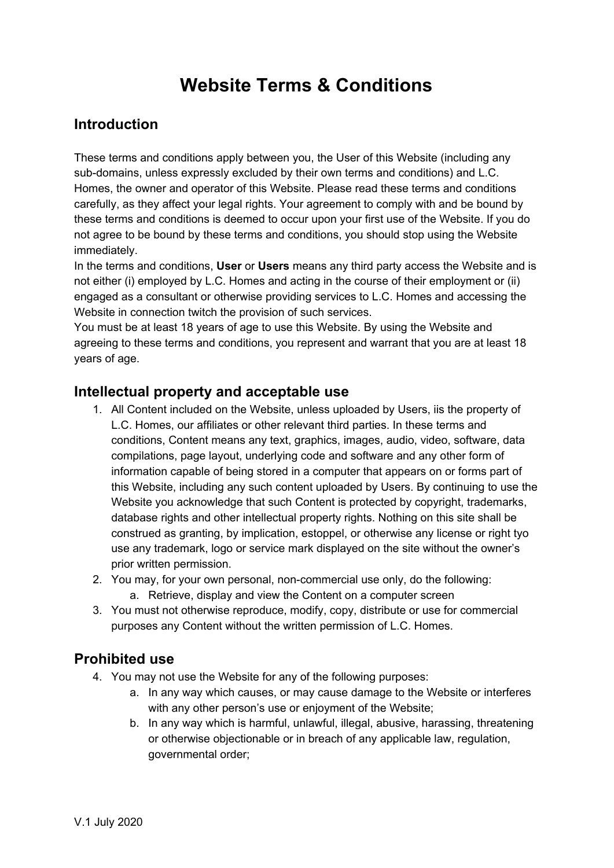# **Website Terms & Conditions**

## **Introduction**

These terms and conditions apply between you, the User of this Website (including any sub-domains, unless expressly excluded by their own terms and conditions) and L.C. Homes, the owner and operator of this Website. Please read these terms and conditions carefully, as they affect your legal rights. Your agreement to comply with and be bound by these terms and conditions is deemed to occur upon your first use of the Website. If you do not agree to be bound by these terms and conditions, you should stop using the Website immediately.

In the terms and conditions, **User** or **Users** means any third party access the Website and is not either (i) employed by L.C. Homes and acting in the course of their employment or (ii) engaged as a consultant or otherwise providing services to L.C. Homes and accessing the Website in connection twitch the provision of such services.

You must be at least 18 years of age to use this Website. By using the Website and agreeing to these terms and conditions, you represent and warrant that you are at least 18 years of age.

#### **Intellectual property and acceptable use**

- 1. All Content included on the Website, unless uploaded by Users, iis the property of L.C. Homes, our affiliates or other relevant third parties. In these terms and conditions, Content means any text, graphics, images, audio, video, software, data compilations, page layout, underlying code and software and any other form of information capable of being stored in a computer that appears on or forms part of this Website, including any such content uploaded by Users. By continuing to use the Website you acknowledge that such Content is protected by copyright, trademarks, database rights and other intellectual property rights. Nothing on this site shall be construed as granting, by implication, estoppel, or otherwise any license or right tyo use any trademark, logo or service mark displayed on the site without the owner's prior written permission.
- 2. You may, for your own personal, non-commercial use only, do the following: a. Retrieve, display and view the Content on a computer screen
- 3. You must not otherwise reproduce, modify, copy, distribute or use for commercial purposes any Content without the written permission of L.C. Homes.

#### **Prohibited use**

- 4. You may not use the Website for any of the following purposes:
	- a. In any way which causes, or may cause damage to the Website or interferes with any other person's use or enjoyment of the Website;
	- b. In any way which is harmful, unlawful, illegal, abusive, harassing, threatening or otherwise objectionable or in breach of any applicable law, regulation, governmental order;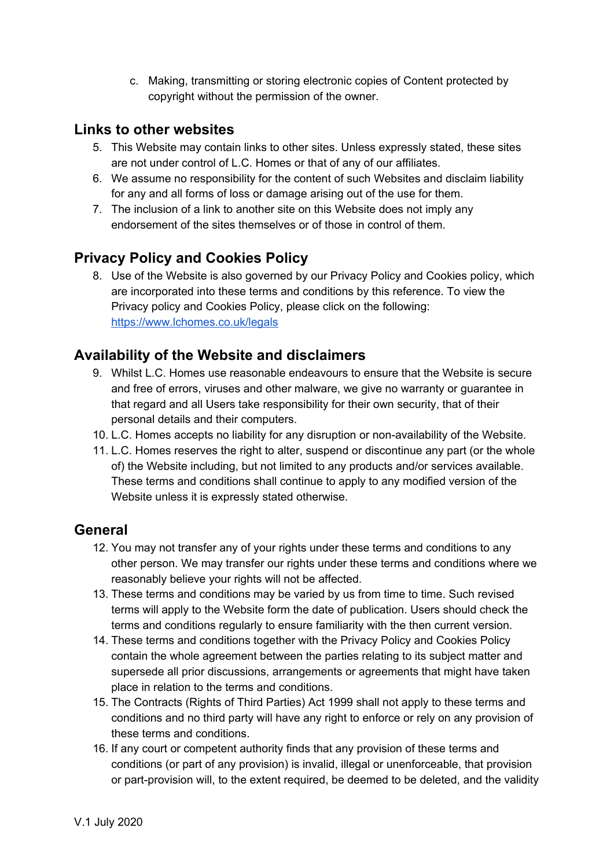c. Making, transmitting or storing electronic copies of Content protected by copyright without the permission of the owner.

### **Links to other websites**

- 5. This Website may contain links to other sites. Unless expressly stated, these sites are not under control of L.C. Homes or that of any of our affiliates.
- 6. We assume no responsibility for the content of such Websites and disclaim liability for any and all forms of loss or damage arising out of the use for them.
- 7. The inclusion of a link to another site on this Website does not imply any endorsement of the sites themselves or of those in control of them.

# **Privacy Policy and Cookies Policy**

8. Use of the Website is also governed by our Privacy Policy and Cookies policy, which are incorporated into these terms and conditions by this reference. To view the Privacy policy and Cookies Policy, please click on the following: <https://www.lchomes.co.uk/legals>

## **Availability of the Website and disclaimers**

- 9. Whilst L.C. Homes use reasonable endeavours to ensure that the Website is secure and free of errors, viruses and other malware, we give no warranty or guarantee in that regard and all Users take responsibility for their own security, that of their personal details and their computers.
- 10. L.C. Homes accepts no liability for any disruption or non-availability of the Website.
- 11. L.C. Homes reserves the right to alter, suspend or discontinue any part (or the whole of) the Website including, but not limited to any products and/or services available. These terms and conditions shall continue to apply to any modified version of the Website unless it is expressly stated otherwise.

#### **General**

- 12. You may not transfer any of your rights under these terms and conditions to any other person. We may transfer our rights under these terms and conditions where we reasonably believe your rights will not be affected.
- 13. These terms and conditions may be varied by us from time to time. Such revised terms will apply to the Website form the date of publication. Users should check the terms and conditions regularly to ensure familiarity with the then current version.
- 14. These terms and conditions together with the Privacy Policy and Cookies Policy contain the whole agreement between the parties relating to its subject matter and supersede all prior discussions, arrangements or agreements that might have taken place in relation to the terms and conditions.
- 15. The Contracts (Rights of Third Parties) Act 1999 shall not apply to these terms and conditions and no third party will have any right to enforce or rely on any provision of these terms and conditions.
- 16. If any court or competent authority finds that any provision of these terms and conditions (or part of any provision) is invalid, illegal or unenforceable, that provision or part-provision will, to the extent required, be deemed to be deleted, and the validity